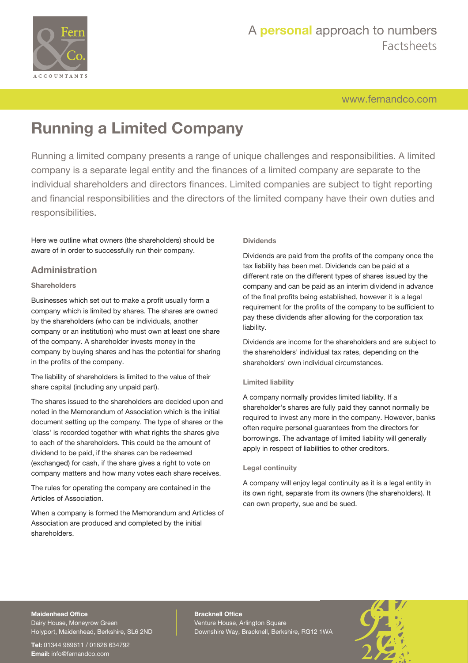

[www.fernandco.com](http://www.fernandco.com)

# **Running a Limited Company**

Running a limited company presents a range of unique challenges and responsibilities. A limited company is a separate legal entity and the finances of a limited company are separate to the individual shareholders and directors finances. Limited companies are subject to tight reporting and financial responsibilities and the directors of the limited company have their own duties and responsibilities.

Here we outline what owners (the shareholders) should be aware of in order to successfully run their company.

## **Administration**

## **Shareholders**

Businesses which set out to make a profit usually form a company which is limited by shares. The shares are owned by the shareholders (who can be individuals, another company or an institution) who must own at least one share of the company. A shareholder invests money in the company by buying shares and has the potential for sharing in the profits of the company.

The liability of shareholders is limited to the value of their share capital (including any unpaid part).

The shares issued to the shareholders are decided upon and noted in the Memorandum of Association which is the initial document setting up the company. The type of shares or the 'class' is recorded together with what rights the shares give to each of the shareholders. This could be the amount of dividend to be paid, if the shares can be redeemed (exchanged) for cash, if the share gives a right to vote on company matters and how many votes each share receives.

The rules for operating the company are contained in the Articles of Association.

When a company is formed the Memorandum and Articles of Association are produced and completed by the initial shareholders.

## **Dividends**

Dividends are paid from the profits of the company once the tax liability has been met. Dividends can be paid at a different rate on the different types of shares issued by the company and can be paid as an interim dividend in advance of the final profits being established, however it is a legal requirement for the profits of the company to be sufficient to pay these dividends after allowing for the corporation tax liability.

Dividends are income for the shareholders and are subject to the shareholders' individual tax rates, depending on the shareholders' own individual circumstances.

## **Limited liability**

A company normally provides limited liability. If a shareholder's shares are fully paid they cannot normally be required to invest any more in the company. However, banks often require personal guarantees from the directors for borrowings. The advantage of limited liability will generally apply in respect of liabilities to other creditors.

## **Legal continuity**

A company will enjoy legal continuity as it is a legal entity in its own right, separate from its owners (the shareholders). It can own property, sue and be sued.

## **Maidenhead Office**

Dairy House, Moneyrow Green Holyport, Maidenhead, Berkshire, SL6 2ND

**Tel:** 01344 989611 / 01628 634792 **Email:** [info@fernandco.com](mailto:info@fernandco.com)

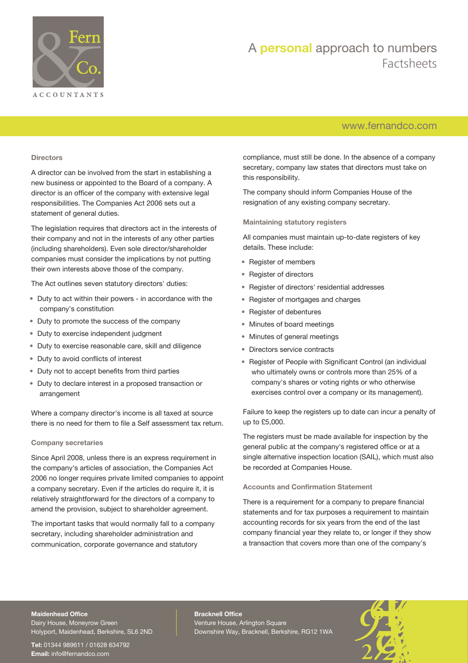

## [www.fernandco.com](http://www.fernandco.com)

### **Directors**

A director can be involved from the start in establishing a new business or appointed to the Board of a company. A director is an officer of the company with extensive legal responsibilities. The Companies Act 2006 sets out a statement of general duties.

The legislation requires that directors act in the interests of their company and not in the interests of any other parties (including shareholders). Even sole director/shareholder companies must consider the implications by not putting their own interests above those of the company.

The Act outlines seven statutory directors' duties:

- Duty to act within their powers in accordance with the company's constitution
- Duty to promote the success of the company
- Duty to exercise independent judgment
- Duty to exercise reasonable care, skill and diligence
- Duty to avoid conflicts of interest
- Duty not to accept benefits from third parties
- Duty to declare interest in a proposed transaction or arrangement

Where a company director's income is all taxed at source there is no need for them to file a Self assessment tax return.

## **Company secretaries**

Since April 2008, unless there is an express requirement in the company's articles of association, the Companies Act 2006 no longer requires private limited companies to appoint a company secretary. Even if the articles do require it, it is relatively straightforward for the directors of a company to amend the provision, subject to shareholder agreement.

The important tasks that would normally fall to a company secretary, including shareholder administration and communication, corporate governance and statutory

compliance, must still be done. In the absence of a company secretary, company law states that directors must take on this responsibility.

The company should inform Companies House of the resignation of any existing company secretary.

**Maintaining statutory registers**

All companies must maintain up-to-date registers of key details. These include:

- Register of members
- Register of directors
- Register of directors' residential addresses
- Register of mortgages and charges
- Register of debentures
- Minutes of board meetings
- Minutes of general meetings
- Directors service contracts
- Register of People with Significant Control (an individual who ultimately owns or controls more than 25% of a company's shares or voting rights or who otherwise exercises control over a company or its management).

Failure to keep the registers up to date can incur a penalty of up to £5,000.

The registers must be made available for inspection by the general public at the company's registered office or at a single alternative inspection location (SAIL), which must also be recorded at Companies House.

## **Accounts and Confirmation Statement**

There is a requirement for a company to prepare financial statements and for tax purposes a requirement to maintain accounting records for six years from the end of the last company financial year they relate to, or longer if they show a transaction that covers more than one of the company's

## **Maidenhead Office**

Dairy House, Moneyrow Green Holyport, Maidenhead, Berkshire, SL6 2ND

**Tel:** 01344 989611 / 01628 634792 **Email:** [info@fernandco.com](mailto:info@fernandco.com)

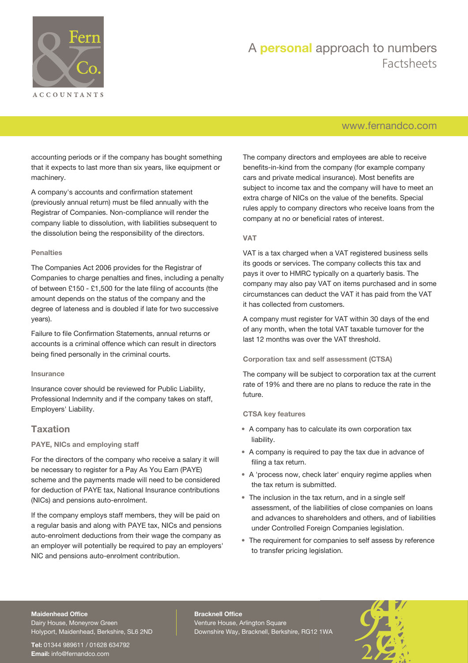

## [www.fernandco.com](http://www.fernandco.com)

accounting periods or if the company has bought something that it expects to last more than six years, like equipment or machinery.

A company's accounts and confirmation statement (previously annual return) must be filed annually with the Registrar of Companies. Non-compliance will render the company liable to dissolution, with liabilities subsequent to the dissolution being the responsibility of the directors.

## **Penalties**

The Companies Act 2006 provides for the Registrar of Companies to charge penalties and fines, including a penalty of between £150 - £1,500 for the late filing of accounts (the amount depends on the status of the company and the degree of lateness and is doubled if late for two successive years).

Failure to file Confirmation Statements, annual returns or accounts is a criminal offence which can result in directors being fined personally in the criminal courts.

### **Insurance**

Insurance cover should be reviewed for Public Liability, Professional Indemnity and if the company takes on staff, Employers' Liability.

## **Taxation**

## **PAYE, NICs and employing staff**

For the directors of the company who receive a salary it will be necessary to register for a Pay As You Earn (PAYE) scheme and the payments made will need to be considered for deduction of PAYE tax, National Insurance contributions (NICs) and pensions auto-enrolment.

If the company employs staff members, they will be paid on a regular basis and along with PAYE tax, NICs and pensions auto-enrolment deductions from their wage the company as an employer will potentially be required to pay an employers' NIC and pensions auto-enrolment contribution.

The company directors and employees are able to receive benefits-in-kind from the company (for example company cars and private medical insurance). Most benefits are subject to income tax and the company will have to meet an extra charge of NICs on the value of the benefits. Special rules apply to company directors who receive loans from the company at no or beneficial rates of interest.

## **VAT**

VAT is a tax charged when a VAT registered business sells its goods or services. The company collects this tax and pays it over to HMRC typically on a quarterly basis. The company may also pay VAT on items purchased and in some circumstances can deduct the VAT it has paid from the VAT it has collected from customers.

A company must register for VAT within 30 days of the end of any month, when the total VAT taxable turnover for the last 12 months was over the VAT threshold.

## **Corporation tax and self assessment (CTSA)**

The company will be subject to corporation tax at the current rate of 19% and there are no plans to reduce the rate in the future.

### **CTSA key features**

- A company has to calculate its own corporation tax liability.
- A company is required to pay the tax due in advance of filing a tax return.
- A 'process now, check later' enquiry regime applies when the tax return is submitted.
- The inclusion in the tax return, and in a single self assessment, of the liabilities of close companies on loans and advances to shareholders and others, and of liabilities under Controlled Foreign Companies legislation.
- The requirement for companies to self assess by reference to transfer pricing legislation.

#### **Maidenhead Office**

Dairy House, Moneyrow Green Holyport, Maidenhead, Berkshire, SL6 2ND

**Tel:** 01344 989611 / 01628 634792 **Email:** [info@fernandco.com](mailto:info@fernandco.com)